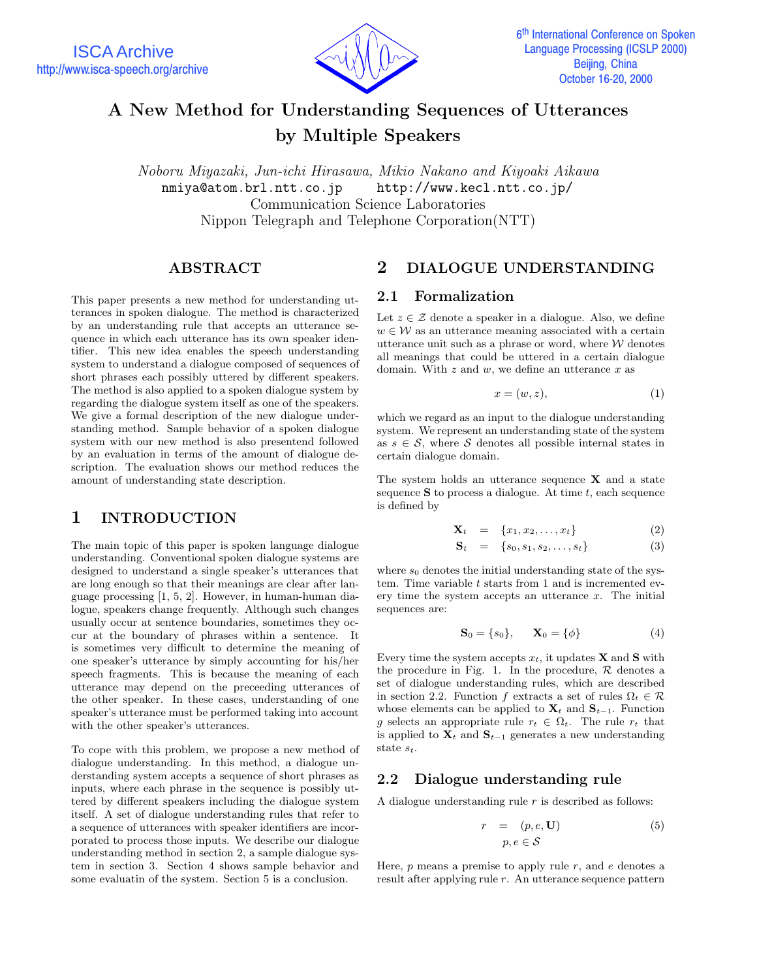

# **A New Method for Understanding Sequences of Utterances by Multiple Speakers**

*Noboru Miyazaki, Jun-ichi Hirasawa, Mikio Nakano and Kiyoaki Aikawa* nmiya@atom.brl.ntt.co.jp http://www.kecl.ntt.co.jp/ Communication Science Laboratories Nippon Telegraph and Telephone Corporation(NTT)

## **ABSTRACT**

This paper presents a new method for understanding utterances in spoken dialogue. The method is characterized by an understanding rule that accepts an utterance sequence in which each utterance has its own speaker identifier. This new idea enables the speech understanding system to understand a dialogue composed of sequences of short phrases each possibly uttered by different speakers. The method is also applied to a spoken dialogue system by regarding the dialogue system itself as one of the speakers. We give a formal description of the new dialogue understanding method. Sample behavior of a spoken dialogue system with our new method is also presentend followed by an evaluation in terms of the amount of dialogue description. The evaluation shows our method reduces the amount of understanding state description.

## **1 INTRODUCTION**

The main topic of this paper is spoken language dialogue understanding. Conventional spoken dialogue systems are designed to understand a single speaker's utterances that are long enough so that their meanings are clear after language processing [1, 5, 2]. However, in human-human dialogue, speakers change frequently. Although such changes usually occur at sentence boundaries, sometimes they occur at the boundary of phrases within a sentence. It is sometimes very difficult to determine the meaning of one speaker's utterance by simply accounting for his/her speech fragments. This is because the meaning of each utterance may depend on the preceeding utterances of the other speaker. In these cases, understanding of one speaker's utterance must be performed taking into account with the other speaker's utterances.

To cope with this problem, we propose a new method of dialogue understanding. In this method, a dialogue understanding system accepts a sequence of short phrases as inputs, where each phrase in the sequence is possibly uttered by different speakers including the dialogue system itself. A set of dialogue understanding rules that refer to a sequence of utterances with speaker identifiers are incorporated to process those inputs. We describe our dialogue understanding method in section 2, a sample dialogue system in section 3. Section 4 shows sample behavior and some evaluatin of the system. Section 5 is a conclusion.

## **2 DIALOGUE UNDERSTANDING**

#### **2.1 Formalization**

Let  $z \in \mathcal{Z}$  denote a speaker in a dialogue. Also, we define  $w \in \mathcal{W}$  as an utterance meaning associated with a certain utterance unit such as a phrase or word, where  $W$  denotes all meanings that could be uttered in a certain dialogue domain. With  $z$  and  $w$ , we define an utterance  $x$  as

$$
x = (w, z), \tag{1}
$$

which we regard as an input to the dialogue understanding system. We represent an understanding state of the system as  $s \in \mathcal{S}$ , where  $\mathcal S$  denotes all possible internal states in certain dialogue domain.

The system holds an utterance sequence **X** and a state sequence  $S$  to process a dialogue. At time  $t$ , each sequence is defined by

$$
\mathbf{X}_t = \{x_1, x_2, \dots, x_t\} \tag{2}
$$

$$
\mathbf{S}_t = \{s_0, s_1, s_2, \dots, s_t\} \tag{3}
$$

where  $s_0$  denotes the initial understanding state of the system. Time variable  $t$  starts from 1 and is incremented every time the system accepts an utterance  $x$ . The initial sequences are:

$$
\mathbf{S}_0 = \{s_0\}, \qquad \mathbf{X}_0 = \{\phi\} \tag{4}
$$

Every time the system accepts  $x_t$ , it updates **X** and **S** with the procedure in Fig. 1. In the procedure,  $R$  denotes a set of dialogue understanding rules, which are described in section 2.2. Function f extracts a set of rules  $\Omega_t \in \mathcal{R}$ whose elements can be applied to  $\mathbf{X}_t$  and  $\mathbf{S}_{t-1}$ . Function g selects an appropriate rule  $r_t \in \Omega_t$ . The rule  $r_t$  that is applied to  $\mathbf{X}_t$  and  $\mathbf{S}_{t-1}$  generates a new understanding state s*t*.

#### **2.2 Dialogue understanding rule**

A dialogue understanding rule  $r$  is described as follows:

$$
r = (p, e, \mathbf{U})
$$
  
 
$$
p, e \in \mathcal{S}
$$
 (5)

Here,  $p$  means a premise to apply rule  $r$ , and  $e$  denotes a result after applying rule r. An utterance sequence pattern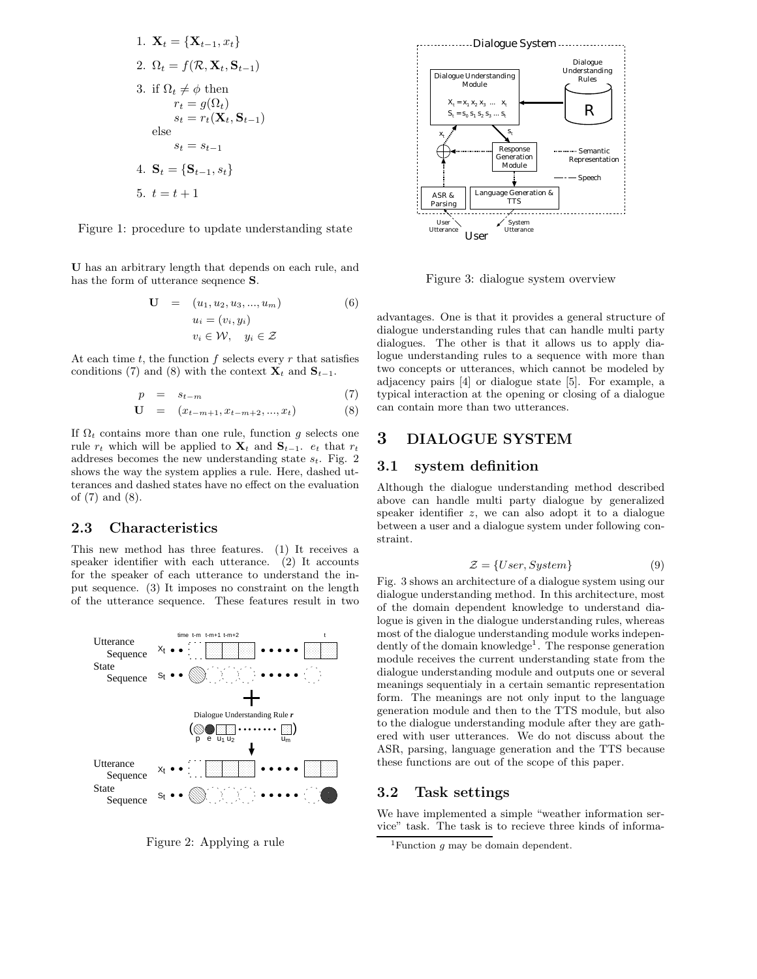1. 
$$
\mathbf{X}_t = {\mathbf{X}_{t-1}, x_t}
$$
  
\n2.  $\Omega_t = f(\mathcal{R}, \mathbf{X}_t, \mathbf{S}_{t-1})$   
\n3. if  $\Omega_t \neq \phi$  then  
\n $r_t = g(\Omega_t)$   
\n $s_t = r_t(\mathbf{X}_t, \mathbf{S}_{t-1})$   
\nelse  
\n $s_t = s_{t-1}$   
\n4.  $\mathbf{S}_t = {\mathbf{S}_{t-1}, s_t}$   
\n5.  $t = t + 1$ 

Figure 1: procedure to update understanding state

**U** has an arbitrary length that depends on each rule, and has the form of utterance seqnence **S**.

$$
\mathbf{U} = (u_1, u_2, u_3, ..., u_m)
$$
  
\n
$$
u_i = (v_i, y_i)
$$
  
\n
$$
v_i \in \mathcal{W}, \quad y_i \in \mathcal{Z}
$$
\n
$$
(6)
$$

At each time  $t$ , the function  $f$  selects every  $r$  that satisfies conditions (7) and (8) with the context  $\mathbf{X}_t$  and  $\mathbf{S}_{t-1}$ .

$$
p = s_{t-m} \tag{7}
$$

$$
\mathbf{U} = (x_{t-m+1}, x_{t-m+2}, ..., x_t) \tag{8}
$$

If  $\Omega_t$  contains more than one rule, function g selects one rule  $r_t$  which will be applied to  $\mathbf{X}_t$  and  $\mathbf{S}_{t-1}$ .  $e_t$  that  $r_t$ addreses becomes the new understanding state s*t*. Fig. 2 shows the way the system applies a rule. Here, dashed utterances and dashed states have no effect on the evaluation of (7) and (8).

### **2.3 Characteristics**

This new method has three features. (1) It receives a speaker identifier with each utterance. (2) It accounts for the speaker of each utterance to understand the input sequence. (3) It imposes no constraint on the length of the utterance sequence. These features result in two



Figure 2: Applying a rule



Figure 3: dialogue system overview

advantages. One is that it provides a general structure of dialogue understanding rules that can handle multi party dialogues. The other is that it allows us to apply dialogue understanding rules to a sequence with more than two concepts or utterances, which cannot be modeled by adjacency pairs [4] or dialogue state [5]. For example, a typical interaction at the opening or closing of a dialogue can contain more than two utterances.

## **3 DIALOGUE SYSTEM**

#### **3.1 system definition**

Although the dialogue understanding method described above can handle multi party dialogue by generalized speaker identifier z, we can also adopt it to a dialogue between a user and a dialogue system under following constraint.

$$
\mathcal{Z} = \{User, System\} \tag{9}
$$

Fig. 3 shows an architecture of a dialogue system using our dialogue understanding method. In this architecture, most of the domain dependent knowledge to understand dialogue is given in the dialogue understanding rules, whereas most of the dialogue understanding module works independently of the domain knowledge<sup>1</sup>. The response generation module receives the current understanding state from the dialogue understanding module and outputs one or several meanings sequentialy in a certain semantic representation form. The meanings are not only input to the language generation module and then to the TTS module, but also to the dialogue understanding module after they are gathered with user utterances. We do not discuss about the ASR, parsing, language generation and the TTS because these functions are out of the scope of this paper.

#### **3.2 Task settings**

We have implemented a simple "weather information service" task. The task is to recieve three kinds of informa-

<sup>1</sup>Function *g* may be domain dependent.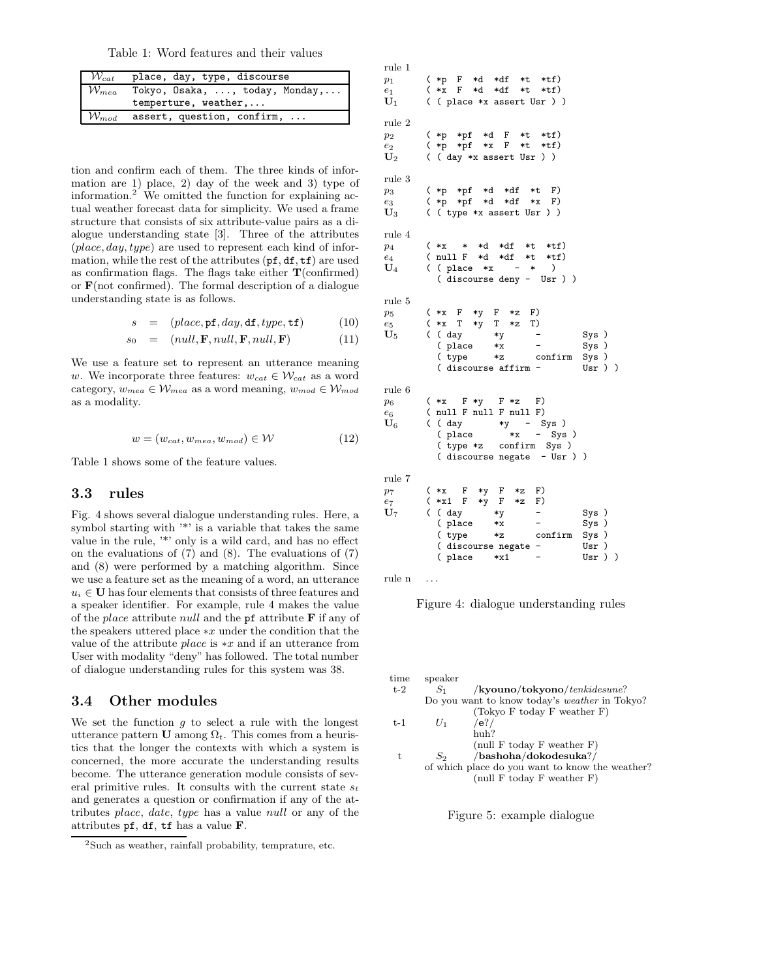Table 1: Word features and their values

| $\mathcal{W}_{cat}$  | place, day, type, discourse    |  |  |  |
|----------------------|--------------------------------|--|--|--|
|                      |                                |  |  |  |
| $\mathcal{W}_{mea}$  | Tokyo, Osaka, , today, Monday, |  |  |  |
| temperture, weather, |                                |  |  |  |
| $\mathcal{W}_{mod}$  | assert, question, confirm,     |  |  |  |

tion and confirm each of them. The three kinds of information are 1) place, 2) day of the week and 3) type of information.<sup>2</sup> We omitted the function for explaining actual weather forecast data for simplicity. We used a frame structure that consists of six attribute-value pairs as a dialogue understanding state [3]. Three of the attributes  $(\text{place}, \text{day}, \text{type})$  are used to represent each kind of information, while the rest of the attributes (pf, df, tf) are used as confirmation flags. The flags take either **T**(confirmed) or **F**(not confirmed). The formal description of a dialogue understanding state is as follows.

$$
s = (place, pf, day, df, type, tf) \tag{10}
$$

$$
s_0 = (null, \mathbf{F}, null, \mathbf{F}, null, \mathbf{F}) \tag{11}
$$

We use a feature set to represent an utterance meaning w. We incorporate three features:  $w_{cat} \in \mathcal{W}_{cat}$  as a word category,  $w_{mea} \in W_{mea}$  as a word meaning,  $w_{mod} \in W_{mod}$ as a modality.

$$
w = (w_{cat}, w_{mea}, w_{mod}) \in \mathcal{W}
$$
 (12)

Table 1 shows some of the feature values.

#### **3.3 rules**

Fig. 4 shows several dialogue understanding rules. Here, a symbol starting with  $\cdot^*$  is a variable that takes the same value in the rule, '\*' only is a wild card, and has no effect on the evaluations of (7) and (8). The evaluations of (7) and (8) were performed by a matching algorithm. Since we use a feature set as the meaning of a word, an utterance  $u_i \in U$  has four elements that consists of three features and a speaker identifier. For example, rule 4 makes the value of the place attribute null and the pf attribute **F** if any of the speakers uttered place ∗x under the condition that the value of the attribute place is ∗x and if an utterance from User with modality "deny" has followed. The total number of dialogue understanding rules for this system was 38.

#### **3.4 Other modules**

We set the function  $g$  to select a rule with the longest utterance pattern **U** among  $\Omega_t$ . This comes from a heuristics that the longer the contexts with which a system is concerned, the more accurate the understanding results become. The utterance generation module consists of several primitive rules. It consults with the current state  $s_t$ and generates a question or confirmation if any of the attributes place, date, type has a value null or any of the attributes pf, df, tf has a value **F**.

rule 1  $p_1$  ( \*p F \*d \*df \*t \*tf)<br>  $e_1$  ( \*x F \*d \*df \*t \*tf) *<sup>e</sup>*<sup>1</sup> ( \*x F \*d \*df \*t \*tf) **U**<sup>1</sup> ( ( place \*x assert Usr ) ) rule 2 *p*<sub>2</sub> (\*p \*pf \*d F \*t \*tf)<br> *e*<sub>2</sub> (\*p \*pf \*x F \*t \*tf) *<sup>e</sup>*<sup>2</sup> ( \*p \*pf \*x F \*t \*tf) **U**<sup>2</sup> ( ( day \*x assert Usr ) ) rule 3  $p_3$  ( \*p \*pf \*d \*df \*t F)<br>  $e_3$  ( \*p \*pf \*d \*df \*x F)<br>  $\mathbf{U}_3$  ( ( type \*x assert Usr ) ) *<sup>e</sup>*<sup>3</sup> ( \*p \*pf \*d \*df \*x F) **U**<sup>3</sup> ( ( type \*x assert Usr ) ) rule 4  $p_4$  (\*x \* \*d \*df \*t \*tf)<br>  $e_4$  (null F \*d \*df \*t \*tf) *<sup>e</sup>*<sup>4</sup> ( null F \*d \*df \*t \*tf) **U**<sup>4</sup> ( ( place \*x - \* ) ( discourse deny - Usr ) ) rule 5  $p_5$  ( \*x F \*y F \*z F)<br>  $e_5$  ( \*x T \*y T \*z T)<br>  $\mathbf{U}_5$  ( ( day \*y *<sup>e</sup>*<sup>5</sup> ( \*x T \*y T \*z T) **U**<sup>5</sup> ( ( day \*y - Sys )  $(\text{place } *x$  - Sys) ( type \*z confirm Sys )  $($  discourse affirm rule 6  $p_6$  (\*x F\*y F\*z F)<br>economies (pull F pull F pull F) *<sup>e</sup>*<sup>6</sup> ( null F null F null F)  $\begin{array}{ccc} e_6 & \text{(null F null F null F)} \\ \mathbf{U}_6 & \text{(day & *y - Sys)} \\ \text{(place & *x - Sys)} \end{array}$  $-$  Sys ) ( type \*z confirm Sys )<br>( discourse negate - Usr ) ) ( discourse negate rule 7 *<sup>p</sup>*<sup>7</sup> ( \*x F \*y F \*z F) *<sup>e</sup>*<sup>7</sup> ( \*x1 F \*y F \*z F)  $U_7$  ( \*x1 F \*y F \*z F)<br>  $U_7$  ( ( day \*y - Sys )<br>
( place \*x - Sys ) ( place \*x - Sys ) ( type \*z confirm Sys )<br>( discourse negate - Usr )  $($  discourse negate -( place \*x1 - Usr ) )

rule n ...

Figure 4: dialogue understanding rules

| time  | speaker |                                                      |
|-------|---------|------------------------------------------------------|
| $t-2$ | $S_1$   | $\mathbf{k}$ youno/tokyono/tenkidesune?              |
|       |         | Do you want to know today's <i>weather</i> in Tokyo? |
|       |         | (Tokyo F today F weather F)                          |
| $t-1$ | $U_1$   | /e?/                                                 |
|       |         | huh?                                                 |
|       |         | (null F today F weather $F$ )                        |
| t.    | $S_2$   | /bashoha/dokodesuka?/                                |
|       |         | of which place do you want to know the weather?      |
|       |         | (null $F$ today $F$ weather $F$ )                    |
|       |         |                                                      |

Figure 5: example dialogue

<sup>2</sup>Such as weather, rainfall probability, temprature, etc.